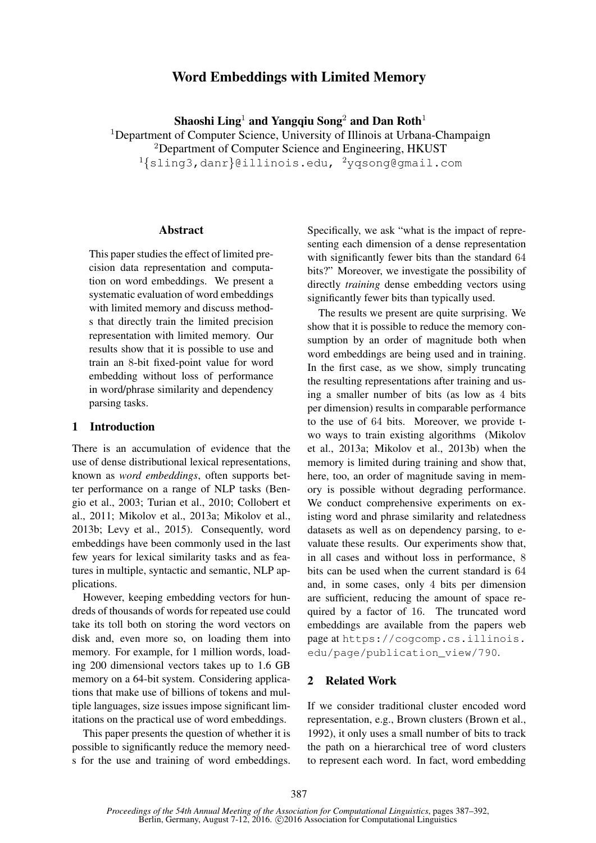# Word Embeddings with Limited Memory

Shaoshi Ling<sup>1</sup> and Yangqiu Song<sup>2</sup> and Dan Roth<sup>1</sup>

<sup>1</sup>Department of Computer Science, University of Illinois at Urbana-Champaign <sup>2</sup>Department of Computer Science and Engineering, HKUST <sup>1</sup>{sling3,danr}@illinois.edu, <sup>2</sup>yqsong@gmail.com

#### Abstract

This paper studies the effect of limited precision data representation and computation on word embeddings. We present a systematic evaluation of word embeddings with limited memory and discuss methods that directly train the limited precision representation with limited memory. Our results show that it is possible to use and train an 8-bit fixed-point value for word embedding without loss of performance in word/phrase similarity and dependency parsing tasks.

#### 1 Introduction

There is an accumulation of evidence that the use of dense distributional lexical representations, known as *word embeddings*, often supports better performance on a range of NLP tasks (Bengio et al., 2003; Turian et al., 2010; Collobert et al., 2011; Mikolov et al., 2013a; Mikolov et al., 2013b; Levy et al., 2015). Consequently, word embeddings have been commonly used in the last few years for lexical similarity tasks and as features in multiple, syntactic and semantic, NLP applications.

However, keeping embedding vectors for hundreds of thousands of words for repeated use could take its toll both on storing the word vectors on disk and, even more so, on loading them into memory. For example, for 1 million words, loading 200 dimensional vectors takes up to 1.6 GB memory on a 64-bit system. Considering applications that make use of billions of tokens and multiple languages, size issues impose significant limitations on the practical use of word embeddings.

This paper presents the question of whether it is possible to significantly reduce the memory needs for the use and training of word embeddings.

Specifically, we ask "what is the impact of representing each dimension of a dense representation with significantly fewer bits than the standard 64 bits?" Moreover, we investigate the possibility of directly *training* dense embedding vectors using significantly fewer bits than typically used.

The results we present are quite surprising. We show that it is possible to reduce the memory consumption by an order of magnitude both when word embeddings are being used and in training. In the first case, as we show, simply truncating the resulting representations after training and using a smaller number of bits (as low as 4 bits per dimension) results in comparable performance to the use of 64 bits. Moreover, we provide two ways to train existing algorithms (Mikolov et al., 2013a; Mikolov et al., 2013b) when the memory is limited during training and show that, here, too, an order of magnitude saving in memory is possible without degrading performance. We conduct comprehensive experiments on existing word and phrase similarity and relatedness datasets as well as on dependency parsing, to evaluate these results. Our experiments show that, in all cases and without loss in performance, 8 bits can be used when the current standard is 64 and, in some cases, only 4 bits per dimension are sufficient, reducing the amount of space required by a factor of 16. The truncated word embeddings are available from the papers web page at https://cogcomp.cs.illinois. edu/page/publication\_view/790.

#### 2 Related Work

If we consider traditional cluster encoded word representation, e.g., Brown clusters (Brown et al., 1992), it only uses a small number of bits to track the path on a hierarchical tree of word clusters to represent each word. In fact, word embedding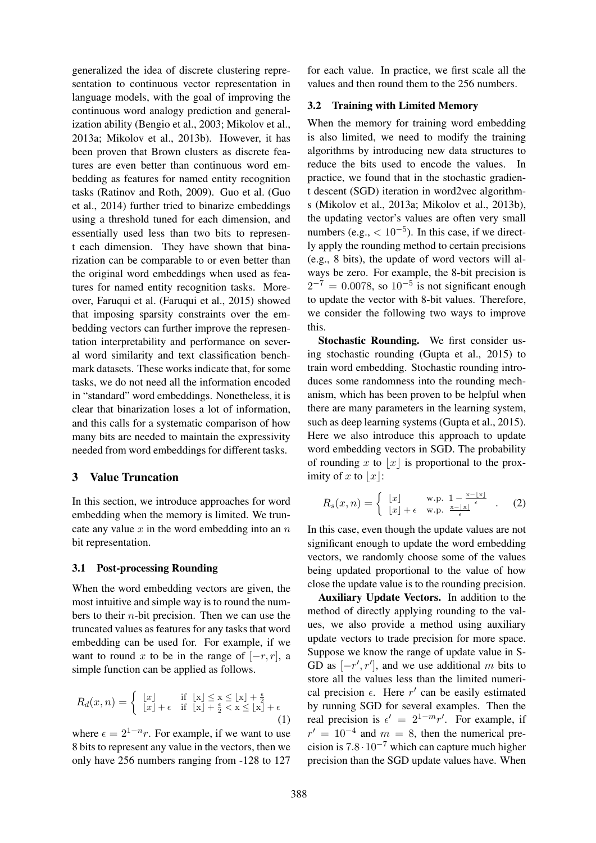generalized the idea of discrete clustering representation to continuous vector representation in language models, with the goal of improving the continuous word analogy prediction and generalization ability (Bengio et al., 2003; Mikolov et al., 2013a; Mikolov et al., 2013b). However, it has been proven that Brown clusters as discrete features are even better than continuous word embedding as features for named entity recognition tasks (Ratinov and Roth, 2009). Guo et al. (Guo et al., 2014) further tried to binarize embeddings using a threshold tuned for each dimension, and essentially used less than two bits to represent each dimension. They have shown that binarization can be comparable to or even better than the original word embeddings when used as features for named entity recognition tasks. Moreover, Faruqui et al. (Faruqui et al., 2015) showed that imposing sparsity constraints over the embedding vectors can further improve the representation interpretability and performance on several word similarity and text classification benchmark datasets. These works indicate that, for some tasks, we do not need all the information encoded in "standard" word embeddings. Nonetheless, it is clear that binarization loses a lot of information, and this calls for a systematic comparison of how many bits are needed to maintain the expressivity needed from word embeddings for different tasks.

## 3 Value Truncation

In this section, we introduce approaches for word embedding when the memory is limited. We truncate any value  $x$  in the word embedding into an  $n$ bit representation.

#### 3.1 Post-processing Rounding

When the word embedding vectors are given, the most intuitive and simple way is to round the numbers to their  $n$ -bit precision. Then we can use the truncated values as features for any tasks that word embedding can be used for. For example, if we want to round x to be in the range of  $[-r, r]$ , a simple function can be applied as follows.

$$
R_d(x,n) = \begin{cases} \lfloor x \rfloor & \text{if } \lfloor x \rfloor \le x \le \lfloor x \rfloor + \frac{\epsilon}{2} \\ \lfloor x \rfloor + \epsilon & \text{if } \lfloor x \rfloor + \frac{\epsilon}{2} < x \le \lfloor x \rfloor + \epsilon \end{cases} \tag{1}
$$

where  $\epsilon = 2^{1-n}r$ . For example, if we want to use 8 bits to represent any value in the vectors, then we only have 256 numbers ranging from -128 to 127 for each value. In practice, we first scale all the values and then round them to the 256 numbers.

#### 3.2 Training with Limited Memory

When the memory for training word embedding is also limited, we need to modify the training algorithms by introducing new data structures to reduce the bits used to encode the values. In practice, we found that in the stochastic gradient descent (SGD) iteration in word2vec algorithms (Mikolov et al., 2013a; Mikolov et al., 2013b), the updating vector's values are often very small numbers (e.g.,  $< 10^{-5}$ ). In this case, if we directly apply the rounding method to certain precisions (e.g., 8 bits), the update of word vectors will always be zero. For example, the 8-bit precision is  $2^{-7} = 0.0078$ , so  $10^{-5}$  is not significant enough to update the vector with 8-bit values. Therefore, we consider the following two ways to improve this.

Stochastic Rounding. We first consider using stochastic rounding (Gupta et al., 2015) to train word embedding. Stochastic rounding introduces some randomness into the rounding mechanism, which has been proven to be helpful when there are many parameters in the learning system, such as deep learning systems (Gupta et al., 2015). Here we also introduce this approach to update word embedding vectors in SGD. The probability of rounding x to  $|x|$  is proportional to the proximity of x to  $|x|$ :

$$
R_s(x,n) = \begin{cases} \n\lfloor x \rfloor & \text{w.p. } 1 - \frac{x - \lfloor x \rfloor}{\epsilon} \\
\lfloor x \rfloor + \epsilon & \text{w.p. } \frac{x - \lfloor x \rfloor}{\epsilon} \n\end{cases} \tag{2}
$$

In this case, even though the update values are not significant enough to update the word embedding vectors, we randomly choose some of the values being updated proportional to the value of how close the update value is to the rounding precision.

Auxiliary Update Vectors. In addition to the method of directly applying rounding to the values, we also provide a method using auxiliary update vectors to trade precision for more space. Suppose we know the range of update value in S-GD as  $[-r', r']$ , and we use additional m bits to store all the values less than the limited numerical precision  $\epsilon$ . Here r' can be easily estimated by running SGD for several examples. Then the real precision is  $\epsilon' = 2^{1-m}r'$ . For example, if  $r' = 10^{-4}$  and  $m = 8$ , then the numerical precision is 7.8·10−<sup>7</sup> which can capture much higher precision than the SGD update values have. When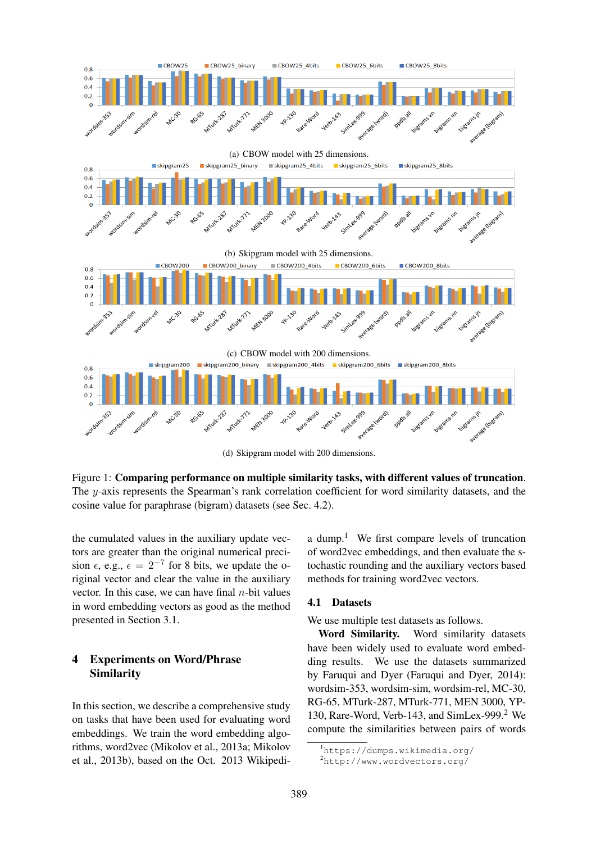

(d) Skipgram model with 200 dimensions.

Figure 1: Comparing performance on multiple similarity tasks, with different values of truncation. The y-axis represents the Spearman's rank correlation coefficient for word similarity datasets, and the cosine value for paraphrase (bigram) datasets (see Sec. 4.2).

the cumulated values in the auxiliary update vectors are greater than the original numerical precision  $\epsilon$ , e.g.,  $\epsilon = 2^{-7}$  for 8 bits, we update the original vector and clear the value in the auxiliary vector. In this case, we can have final  $n$ -bit values in word embedding vectors as good as the method presented in Section 3.1.

## 4 Experiments on Word/Phrase Similarity

In this section, we describe a comprehensive study on tasks that have been used for evaluating word embeddings. We train the word embedding algorithms, word2vec (Mikolov et al., 2013a; Mikolov et al., 2013b), based on the Oct. 2013 Wikipedia dump.<sup>1</sup> We first compare levels of truncation of word2vec embeddings, and then evaluate the stochastic rounding and the auxiliary vectors based methods for training word2vec vectors.

#### 4.1 Datasets

We use multiple test datasets as follows.

Word Similarity. Word similarity datasets have been widely used to evaluate word embedding results. We use the datasets summarized by Faruqui and Dyer (Faruqui and Dyer, 2014): wordsim-353, wordsim-sim, wordsim-rel, MC-30, RG-65, MTurk-287, MTurk-771, MEN 3000, YP-130, Rare-Word, Verb-143, and SimLex-999.<sup>2</sup> We compute the similarities between pairs of words

<sup>1</sup>https://dumps.wikimedia.org/

<sup>2</sup>http://www.wordvectors.org/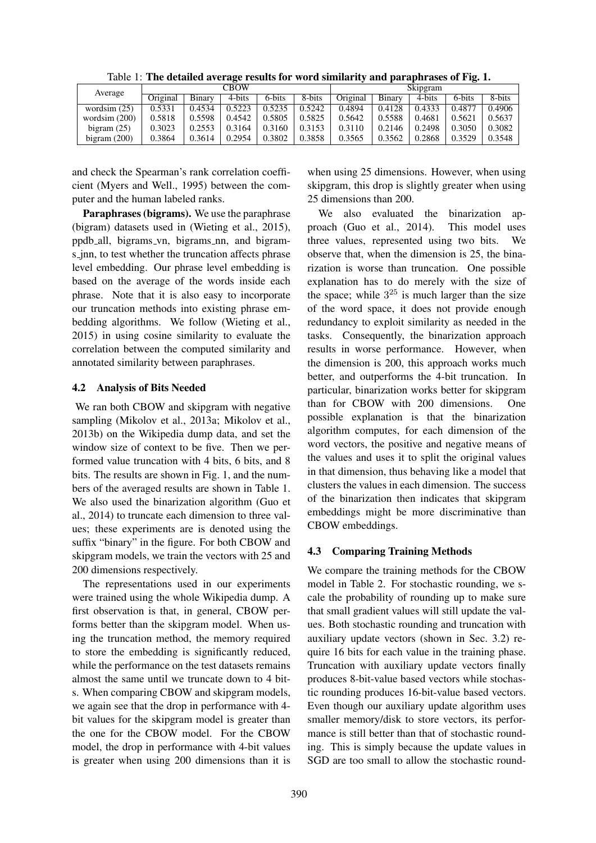| Average         | CBOW     |        |        |        |        | Skipgram |        |        |        |        |
|-----------------|----------|--------|--------|--------|--------|----------|--------|--------|--------|--------|
|                 | Original | Binary | 4-bits | 6-bits | 8-bits | Original | Binary | 4-bits | 6-bits | 8-bits |
| wordsim $(25)$  | 0.5331   | 0.4534 | 0.5223 | 0.5235 | 0.5242 | 0.4894   | 0.4128 | 0.4333 | 0.4877 | 0.4906 |
| wordsim $(200)$ | 0.5818   | 0.5598 | 0.4542 | 0.5805 | 0.5825 | 0.5642   | 0.5588 | 0.4681 | 0.5621 | 0.5637 |
| bigram $(25)$   | 0.3023   | 0.2553 | 0.3164 | 0.3160 | 0.3153 | 0.3110   | 0.2146 | 0.2498 | 0.3050 | 0.3082 |
| bigram $(200)$  | 0.3864   | 0.3614 | 0.2954 | 0.3802 | 0.3858 | 0.3565   | 0.3562 | 0.2868 | 0.3529 | 0.3548 |

Table 1: The detailed average results for word similarity and paraphrases of Fig. 1.

and check the Spearman's rank correlation coefficient (Myers and Well., 1995) between the computer and the human labeled ranks.

Paraphrases (bigrams). We use the paraphrase (bigram) datasets used in (Wieting et al., 2015), ppdb all, bigrams vn, bigrams nn, and bigrams jnn, to test whether the truncation affects phrase level embedding. Our phrase level embedding is based on the average of the words inside each phrase. Note that it is also easy to incorporate our truncation methods into existing phrase embedding algorithms. We follow (Wieting et al., 2015) in using cosine similarity to evaluate the correlation between the computed similarity and annotated similarity between paraphrases.

## 4.2 Analysis of Bits Needed

We ran both CBOW and skipgram with negative sampling (Mikolov et al., 2013a; Mikolov et al., 2013b) on the Wikipedia dump data, and set the window size of context to be five. Then we performed value truncation with 4 bits, 6 bits, and 8 bits. The results are shown in Fig. 1, and the numbers of the averaged results are shown in Table 1. We also used the binarization algorithm (Guo et al., 2014) to truncate each dimension to three values; these experiments are is denoted using the suffix "binary" in the figure. For both CBOW and skipgram models, we train the vectors with 25 and 200 dimensions respectively.

The representations used in our experiments were trained using the whole Wikipedia dump. A first observation is that, in general, CBOW performs better than the skipgram model. When using the truncation method, the memory required to store the embedding is significantly reduced, while the performance on the test datasets remains almost the same until we truncate down to 4 bits. When comparing CBOW and skipgram models, we again see that the drop in performance with 4 bit values for the skipgram model is greater than the one for the CBOW model. For the CBOW model, the drop in performance with 4-bit values is greater when using 200 dimensions than it is when using 25 dimensions. However, when using skipgram, this drop is slightly greater when using 25 dimensions than 200.

We also evaluated the binarization approach (Guo et al., 2014). This model uses three values, represented using two bits. We observe that, when the dimension is 25, the binarization is worse than truncation. One possible explanation has to do merely with the size of the space; while  $3^{25}$  is much larger than the size of the word space, it does not provide enough redundancy to exploit similarity as needed in the tasks. Consequently, the binarization approach results in worse performance. However, when the dimension is 200, this approach works much better, and outperforms the 4-bit truncation. In particular, binarization works better for skipgram than for CBOW with 200 dimensions. One possible explanation is that the binarization algorithm computes, for each dimension of the word vectors, the positive and negative means of the values and uses it to split the original values in that dimension, thus behaving like a model that clusters the values in each dimension. The success of the binarization then indicates that skipgram embeddings might be more discriminative than CBOW embeddings.

## 4.3 Comparing Training Methods

We compare the training methods for the CBOW model in Table 2. For stochastic rounding, we scale the probability of rounding up to make sure that small gradient values will still update the values. Both stochastic rounding and truncation with auxiliary update vectors (shown in Sec. 3.2) require 16 bits for each value in the training phase. Truncation with auxiliary update vectors finally produces 8-bit-value based vectors while stochastic rounding produces 16-bit-value based vectors. Even though our auxiliary update algorithm uses smaller memory/disk to store vectors, its performance is still better than that of stochastic rounding. This is simply because the update values in SGD are too small to allow the stochastic round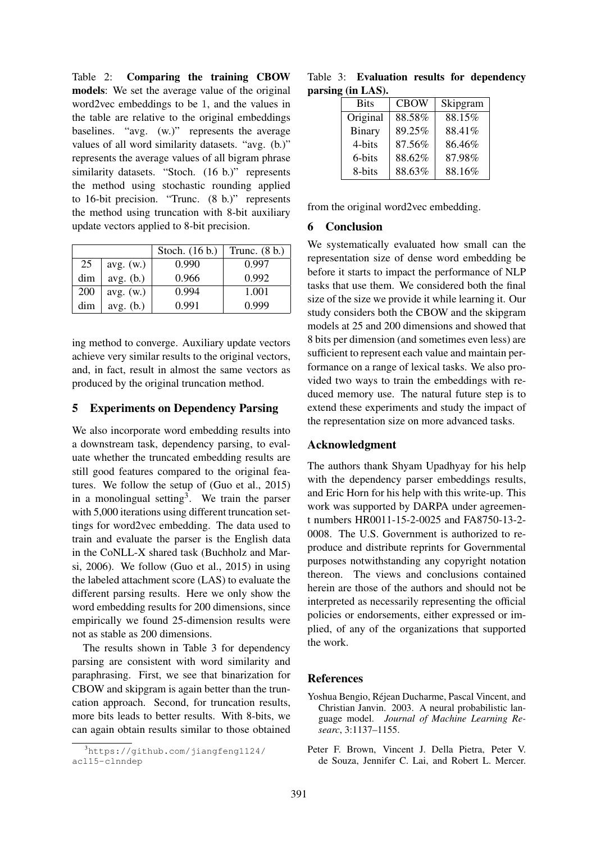Table 2: Comparing the training CBOW models: We set the average value of the original word2vec embeddings to be 1, and the values in the table are relative to the original embeddings baselines. "avg. (w.)" represents the average values of all word similarity datasets. "avg. (b.)" represents the average values of all bigram phrase similarity datasets. "Stoch. (16 b.)" represents the method using stochastic rounding applied to 16-bit precision. "Trunc. (8 b.)" represents the method using truncation with 8-bit auxiliary update vectors applied to 8-bit precision.

|     |           | Stoch. (16 b.) | Trunc. $(8 b.)$ |
|-----|-----------|----------------|-----------------|
| 25  | avg. (w.) | 0.990          | 0.997           |
| dim | avg. (b.) | 0.966          | 0.992           |
| 200 | avg. (w.) | 0.994          | 1.001           |
| dim | avg. (b.) | 0.991          | 0.999           |

ing method to converge. Auxiliary update vectors achieve very similar results to the original vectors, and, in fact, result in almost the same vectors as produced by the original truncation method.

#### 5 Experiments on Dependency Parsing

We also incorporate word embedding results into a downstream task, dependency parsing, to evaluate whether the truncated embedding results are still good features compared to the original features. We follow the setup of (Guo et al., 2015) in a monolingual setting<sup>3</sup>. We train the parser with 5,000 iterations using different truncation settings for word2vec embedding. The data used to train and evaluate the parser is the English data in the CoNLL-X shared task (Buchholz and Marsi, 2006). We follow (Guo et al., 2015) in using the labeled attachment score (LAS) to evaluate the different parsing results. Here we only show the word embedding results for 200 dimensions, since empirically we found 25-dimension results were not as stable as 200 dimensions.

The results shown in Table 3 for dependency parsing are consistent with word similarity and paraphrasing. First, we see that binarization for CBOW and skipgram is again better than the truncation approach. Second, for truncation results, more bits leads to better results. With 8-bits, we can again obtain results similar to those obtained

Table 3: Evaluation results for dependency parsing (in LAS).

| Skipgram |
|----------|
| 88.15%   |
| 88.41%   |
| 86.46%   |
| 87.98%   |
| 88.16%   |
|          |

from the original word2vec embedding.

#### 6 Conclusion

We systematically evaluated how small can the representation size of dense word embedding be before it starts to impact the performance of NLP tasks that use them. We considered both the final size of the size we provide it while learning it. Our study considers both the CBOW and the skipgram models at 25 and 200 dimensions and showed that 8 bits per dimension (and sometimes even less) are sufficient to represent each value and maintain performance on a range of lexical tasks. We also provided two ways to train the embeddings with reduced memory use. The natural future step is to extend these experiments and study the impact of the representation size on more advanced tasks.

## Acknowledgment

The authors thank Shyam Upadhyay for his help with the dependency parser embeddings results, and Eric Horn for his help with this write-up. This work was supported by DARPA under agreement numbers HR0011-15-2-0025 and FA8750-13-2- 0008. The U.S. Government is authorized to reproduce and distribute reprints for Governmental purposes notwithstanding any copyright notation thereon. The views and conclusions contained herein are those of the authors and should not be interpreted as necessarily representing the official policies or endorsements, either expressed or implied, of any of the organizations that supported the work.

## References

- Yoshua Bengio, Rejean Ducharme, Pascal Vincent, and ´ Christian Janvin. 2003. A neural probabilistic language model. *Journal of Machine Learning Researc*, 3:1137–1155.
- Peter F. Brown, Vincent J. Della Pietra, Peter V. de Souza, Jennifer C. Lai, and Robert L. Mercer.

<sup>3</sup>https://github.com/jiangfeng1124/ acl15-clnndep